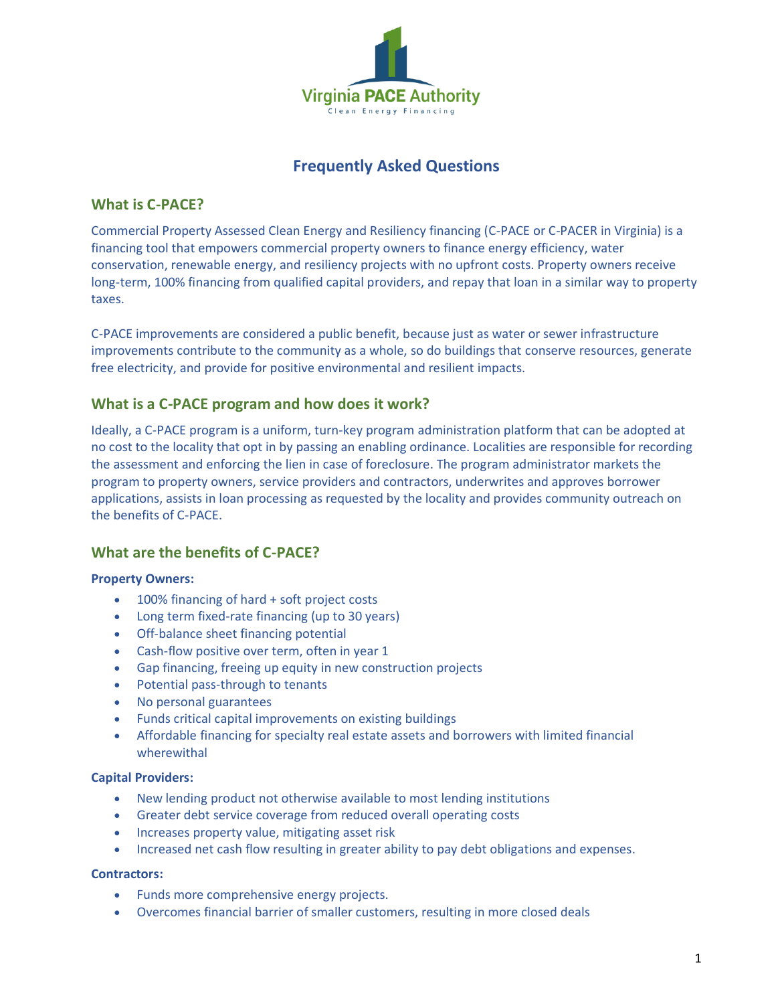

# **Frequently Asked Questions**

## **What is C-PACE?**

Commercial Property Assessed Clean Energy and Resiliency financing (C-PACE or C-PACER in Virginia) is a financing tool that empowers commercial property owners to finance energy efficiency, water conservation, renewable energy, and resiliency projects with no upfront costs. Property owners receive long-term, 100% financing from qualified capital providers, and repay that loan in a similar way to property taxes.

C-PACE improvements are considered a public benefit, because just as water or sewer infrastructure improvements contribute to the community as a whole, so do buildings that conserve resources, generate free electricity, and provide for positive environmental and resilient impacts.

# **What is a C-PACE program and how does it work?**

Ideally, a C-PACE program is a uniform, turn-key program administration platform that can be adopted at no cost to the locality that opt in by passing an enabling ordinance. Localities are responsible for recording the assessment and enforcing the lien in case of foreclosure. The program administrator markets the program to property owners, service providers and contractors, underwrites and approves borrower applications, assists in loan processing as requested by the locality and provides community outreach on the benefits of C-PACE.

# **What are the benefits of C-PACE?**

## **Property Owners:**

- 100% financing of hard + soft project costs
- Long term fixed-rate financing (up to 30 years)
- Off-balance sheet financing potential
- Cash-flow positive over term, often in year 1
- Gap financing, freeing up equity in new construction projects
- Potential pass-through to tenants
- No personal guarantees
- Funds critical capital improvements on existing buildings
- Affordable financing for specialty real estate assets and borrowers with limited financial wherewithal

## **Capital Providers:**

- New lending product not otherwise available to most lending institutions
- Greater debt service coverage from reduced overall operating costs
- Increases property value, mitigating asset risk
- Increased net cash flow resulting in greater ability to pay debt obligations and expenses.

## **Contractors:**

- Funds more comprehensive energy projects.
- Overcomes financial barrier of smaller customers, resulting in more closed deals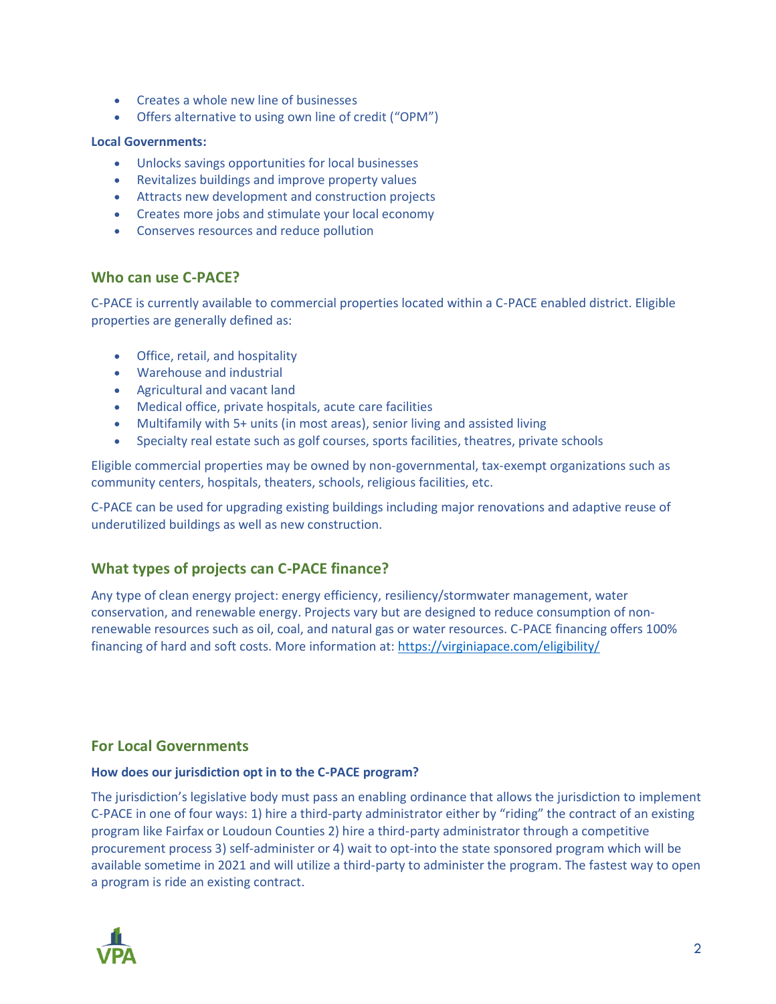- Creates a whole new line of businesses
- Offers alternative to using own line of credit ("OPM")

#### **Local Governments:**

- Unlocks savings opportunities for local businesses
- Revitalizes buildings and improve property values
- Attracts new development and construction projects
- Creates more jobs and stimulate your local economy
- Conserves resources and reduce pollution

## **Who can use C-PACE?**

C-PACE is currently available to commercial properties located within a C-PACE enabled district. Eligible properties are generally defined as:

- Office, retail, and hospitality
- Warehouse and industrial
- Agricultural and vacant land
- Medical office, private hospitals, acute care facilities
- Multifamily with 5+ units (in most areas), senior living and assisted living
- Specialty real estate such as golf courses, sports facilities, theatres, private schools

Eligible commercial properties may be owned by non-governmental, tax-exempt organizations such as community centers, hospitals, theaters, schools, religious facilities, etc.

C-PACE can be used for upgrading existing buildings including major renovations and adaptive reuse of underutilized buildings as well as new construction.

# **What types of projects can C-PACE finance?**

Any type of clean energy project: energy efficiency, resiliency/stormwater management, water conservation, and renewable energy. Projects vary but are designed to reduce consumption of nonrenewable resources such as oil, coal, and natural gas or water resources. C-PACE financing offers 100% financing of hard and soft costs. More information at:<https://virginiapace.com/eligibility/>

## **For Local Governments**

## **How does our jurisdiction opt in to the C-PACE program?**

The jurisdiction's legislative body must pass an enabling ordinance that allows the jurisdiction to implement C-PACE in one of four ways: 1) hire a third-party administrator either by "riding" the contract of an existing program like Fairfax or Loudoun Counties 2) hire a third-party administrator through a competitive procurement process 3) self-administer or 4) wait to opt-into the state sponsored program which will be available sometime in 2021 and will utilize a third-party to administer the program. The fastest way to open a program is ride an existing contract.

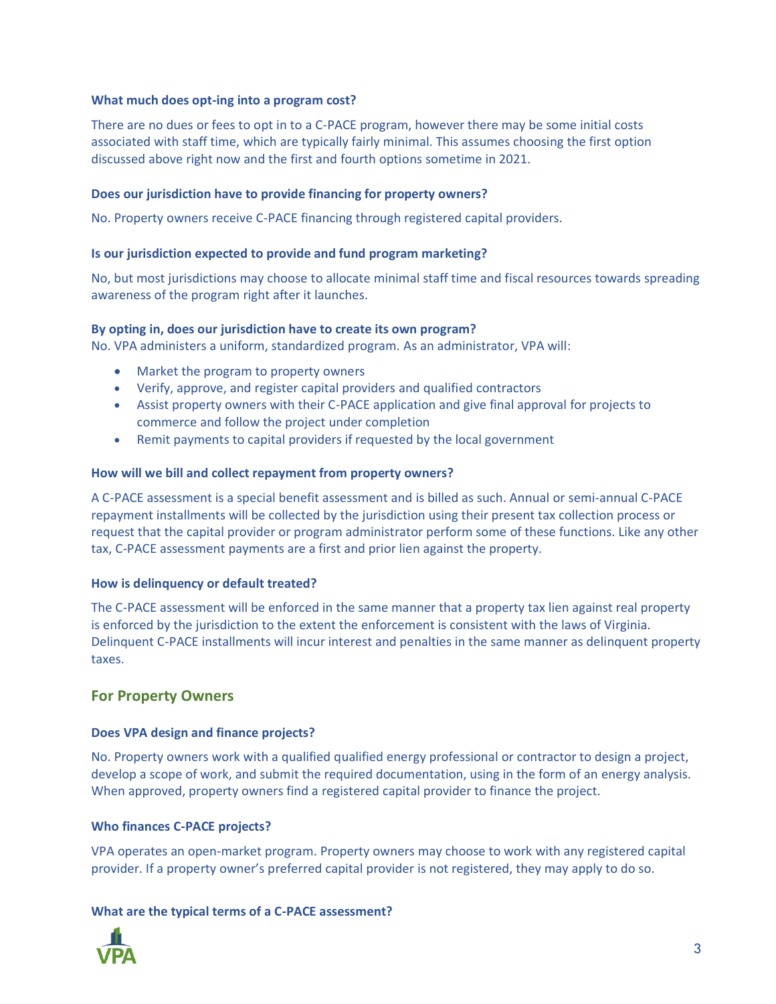## **What much does opt-ing into a program cost?**

There are no dues or fees to opt in to a C-PACE program, however there may be some initial costs associated with staff time, which are typically fairly minimal. This assumes choosing the first option discussed above right now and the first and fourth options sometime in 2021.

## **Does our jurisdiction have to provide financing for property owners?**

No. Property owners receive C-PACE financing through registered capital providers.

## **Is our jurisdiction expected to provide and fund program marketing?**

No, but most jurisdictions may choose to allocate minimal staff time and fiscal resources towards spreading awareness of the program right after it launches.

## **By opting in, does our jurisdiction have to create its own program?**

No. VPA administers a uniform, standardized program. As an administrator, VPA will:

- Market the program to property owners
- Verify, approve, and register capital providers and qualified contractors
- Assist property owners with their C-PACE application and give final approval for projects to commerce and follow the project under completion
- Remit payments to capital providers if requested by the local government

## **How will we bill and collect repayment from property owners?**

A C-PACE assessment is a special benefit assessment and is billed as such. Annual or semi-annual C-PACE repayment installments will be collected by the jurisdiction using their present tax collection process or request that the capital provider or program administrator perform some of these functions. Like any other tax, C-PACE assessment payments are a first and prior lien against the property.

## **How is delinquency or default treated?**

The C-PACE assessment will be enforced in the same manner that a property tax lien against real property is enforced by the jurisdiction to the extent the enforcement is consistent with the laws of Virginia. Delinquent C-PACE installments will incur interest and penalties in the same manner as delinquent property taxes.

## **For Property Owners**

## **Does VPA design and finance projects?**

No. Property owners work with a qualified qualified energy professional or contractor to design a project, develop a scope of work, and submit the required documentation, using in the form of an energy analysis. When approved, property owners find a registered capital provider to finance the project.

## **Who finances C-PACE projects?**

VPA operates an open-market program. Property owners may choose to work with any registered capital provider. If a property owner's preferred capital provider is not registered, they may apply to do so.

## **What are the typical terms of a C-PACE assessment?**